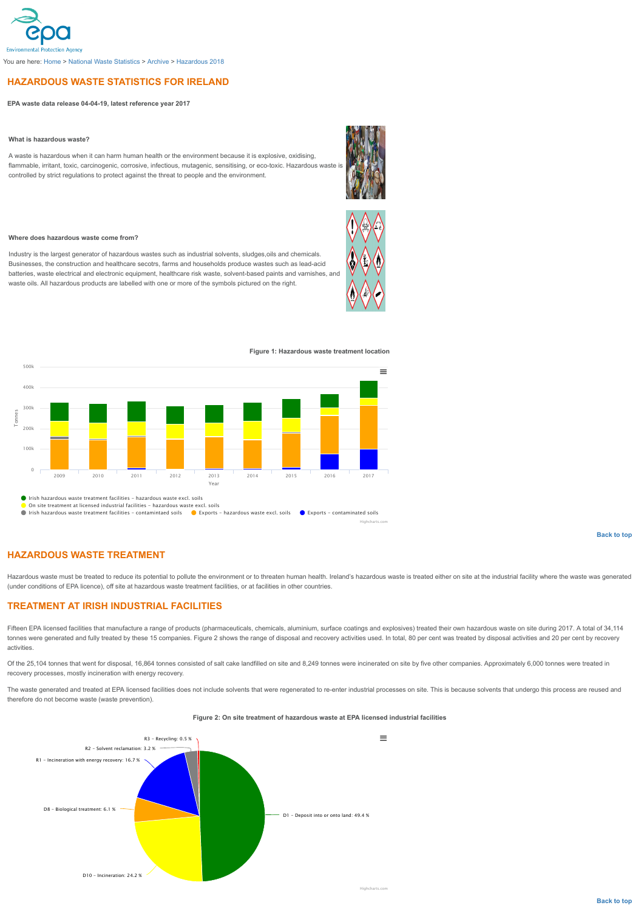# <span id="page-0-0"></span>**HAZARDOUS WASTE STATISTICS FOR IRELAND**

**EPA waste data release 04-04-19, latest reference year 2017**

### **What is hazardous waste?**

A waste is hazardous when it can harm human health or the environment because it is explosive, oxidising, flammable, irritant, toxic, carcinogenic, corrosive, infectious, mutagenic, sensitising, or eco-toxic. Hazardous waste is controlled by strict regulations to protect against the threat to people and the environment.

#### **Where does hazardous waste come from?**

Industry is the largest generator of hazardous wastes such as industrial solvents, sludges,oils and chemicals. Businesses, the construction and healthcare secotrs, farms and households produce wastes such as lead-acid batteries, waste electrical and electronic equipment, healthcare risk waste, solvent-based paints and varnishes, and waste oils. All hazardous products are labelled with one or more of the symbols pictured on the right.





Highcharts.com

#### **Figure 1: Hazardous waste treatment location**



Irish hazardous waste treatment facilities - hazardous waste excl. soils On site treatment at licensed industrial facilities - hazardous waste excl. soils

Irish hazardous waste treatment facilities - contamintaed soils **C** Exports - hazardous waste excl. soils C Exports - contaminated soils

**[Back to top](#page-0-0)**

# **HAZARDOUS WASTE TREATMENT**

Hazardous waste must be treated to reduce its potential to pollute the environment or to threaten human health. Ireland's hazardous waste is treated either on site at the industrial facility where the waste was generated (under conditions of EPA licence), off site at hazardous waste treatment facilities, or at facilities in other countries.

## **TREATMENT AT IRISH INDUSTRIAL FACILITIES**

Fifteen EPA licensed facilities that manufacture a range of products (pharmaceuticals, chemicals, aluminium, surface coatings and explosives) treated their own hazardous waste on site during 2017. A total of 34,114 tonnes were generated and fully treated by these 15 companies. Figure 2 shows the range of disposal and recovery activities used. In total, 80 per cent was treated by disposal activities and 20 per cent by recovery activities.

Of the 25,104 tonnes that went for disposal, 16,864 tonnes consisted of salt cake landfilled on site and 8,249 tonnes were incinerated on site by five other companies. Approximately 6,000 tonnes were treated in recovery processes, mostly incineration with energy recovery.

The waste generated and treated at EPA licensed facilities does not include solvents that were regenerated to re-enter industrial processes on site. This is because solvents that undergo this process are reused and therefore do not become waste (waste prevention).

## **Figure 2: On site treatment of hazardous waste at EPA licensed industrial facilities**

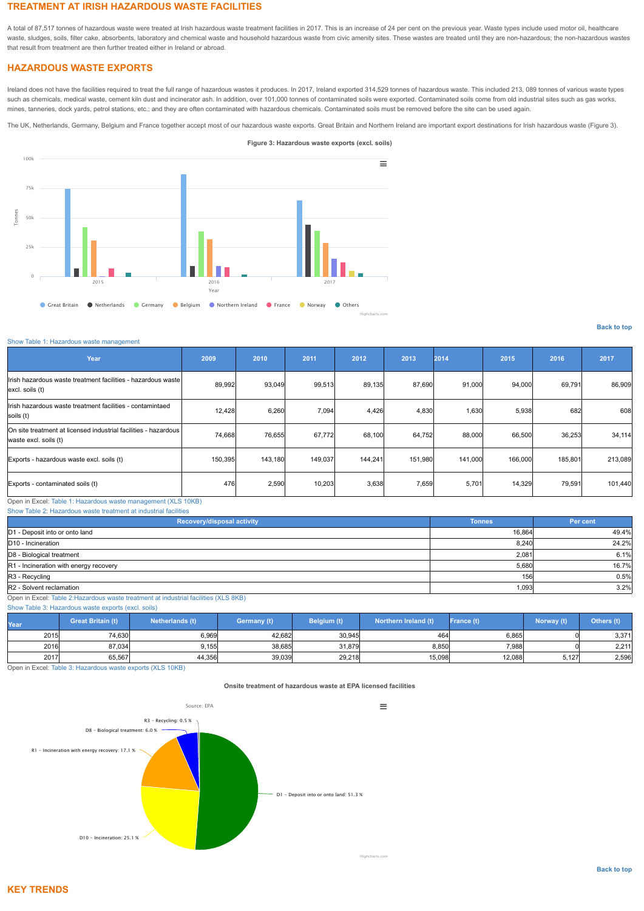# **TREATMENT AT IRISH HAZARDOUS WASTE FACILITIES**

A total of 87,517 tonnes of hazardous waste were treated at Irish hazardous waste treatment facilities in 2017. This is an increase of 24 per cent on the previous year. Waste types include used motor oil, healthcare waste, sludges, soils, filter cake, absorbents, laboratory and chemical waste and household hazardous waste from civic amenity sites. These wastes are treated until they are non-hazardous; the non-hazardous wastes that result from treatment are then further treated either in Ireland or abroad.

## **HAZARDOUS WASTE EXPORTS**

Ireland does not have the facilities required to treat the full range of hazardous wastes it produces. In 2017, Ireland exported 314,529 tonnes of hazardous waste. This included 213, 089 tonnes of various waste types such as chemicals, medical waste, cement kiln dust and incinerator ash. In addition, over 101,000 tonnes of contaminated soils were exported. Contaminated soils come from old industrial sites such as gas works, mines, tanneries, dock yards, petrol stations, etc.; and they are often contaminated with hazardous chemicals. Contaminated soils must be removed before the site can be used again.

The UK, Netherlands, Germany, Belgium and France together accept most of our hazardous waste exports. Great Britain and Northern Ireland are important export destinations for Irish hazardous waste (Figure 3).



### **[Back to top](#page-0-0)**

#### [Show Table 1: Hazardous waste management](#page-1-0)

<span id="page-1-0"></span>

| Year                                                                                     | 2009    | 2010    | 2011    | 2012    | 2013    | 2014    | 2015    | 2016    | 2017    |
|------------------------------------------------------------------------------------------|---------|---------|---------|---------|---------|---------|---------|---------|---------|
| Irish hazardous waste treatment facilities - hazardous waste<br>excl. soils (t)          | 89,992  | 93,049  | 99,513  | 89,135  | 87,690  | 91,000  | 94,000  | 69,791  | 86,909  |
| Irish hazardous waste treatment facilities - contamintaed<br>soils (t)                   | 12,428  | 6,260   | 7,094   | 4,426   | 4,830   | 1,630   | 5,938   | 682     | 608     |
| On site treatment at licensed industrial facilities - hazardous<br>waste excl. soils (t) | 74,668  | 76,655  | 67,772  | 68,100  | 64,752  | 88,000  | 66,500  | 36,253  | 34,114  |
| Exports - hazardous waste excl. soils (t)                                                | 150,395 | 143,180 | 149,037 | 144,241 | 151,980 | 141,000 | 166,000 | 185,801 | 213,089 |
| Exports - contaminated soils (t)                                                         | 476     | 2,590   | 10,203  | 3,638   | 7,659   | 5,701   | 14,329  | 79,591  | 101,440 |

Open in Excel: [Table 1: Hazardous waste management \(XLS 10KB\)](https://www.epa.ie/media/EPA_Hazardous_2019_Ref2017_Table_1.xlsx) [Show Table 2: Hazardous waste treatment at industrial facilities](#page-1-1)

<span id="page-1-1"></span>

| Recovery/disposal activity             | <b>Tonnes</b> | Per cent |
|----------------------------------------|---------------|----------|
| D1 - Deposit into or onto land         | 16,864        | 49.4%    |
| D10 - Incineration                     | 8,240         | 24.2%    |
| D8 - Biological treatment              | 2,081         | 6.1%     |
| R1 - Incineration with energy recovery | 5,680         | 16.7%    |
| R3 - Recycling                         | 156           | 0.5%     |
| R2 - Solvent reclamation               | 1,093         | 3.2%     |

Open in Excel: [Table 2:Hazardous waste treatment at industrial facilities \(XLS 8KB\)](https://www.epa.ie/media/EPA_Hazardous_2019_Ref2017_Table_2.xlsx)

[Show Table 3: Hazardous waste exports \(excl. soils\)](#page-1-2)

<span id="page-1-2"></span>

| rear) | <b>Great Britain (t)</b> | Netherlands (t) | Germany (t) | Belgium (t) | Northern Ireland (t) | France (t) | Norway (t) | Others (t) |
|-------|--------------------------|-----------------|-------------|-------------|----------------------|------------|------------|------------|
| 2015  | 74,630                   | 6,969           | 42,682      | 30,945      | 464                  | 6,865      |            | 3,371      |
| 2016  | 87,034                   | 9,155           | 38,685      | 31,879      | 8,850                | 7,988      |            | 2,211      |
| 2017  | 65,567                   | 44,356          | 39,039      | 29,218      | 15,098               | 12,088     | 5,127      | 2,596      |

Open in Excel: [Table 3: Hazardous waste exports \(XLS 10KB\)](https://www.epa.ie/media/EPA_Hazardous_2019_Ref2017_Table_3.xlsx)

### **Onsite treatment of hazardous waste at EPA licensed facilities**